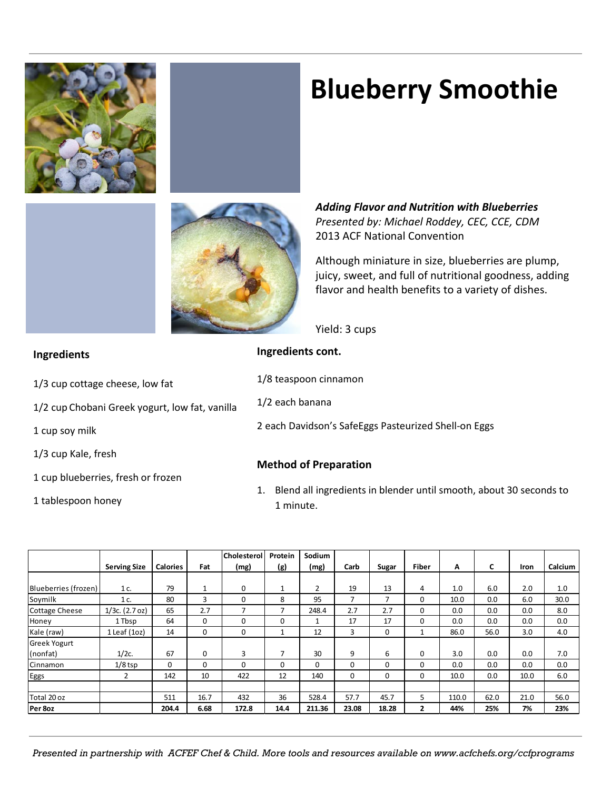

# **Blueberry Smoothie**



*Adding Flavor and Nutrition with Blueberries Presented by: Michael Roddey, CEC, CCE, CDM* 2013 ACF National Convention

Although miniature in size, blueberries are plump, juicy, sweet, and full of nutritional goodness, adding flavor and health benefits to a variety of dishes.

Yield: 3 cups

# **Ingredients cont.** 1/8 teaspoon cinnamon 1/2 each banana 2 each Davidson's SafeEggs Pasteurized Shell-on Eggs **Method of Preparation**

1. Blend all ingredients in blender until smooth, about 30 seconds to 1 minute.

|                      |                     |                 |          | <b>Cholesterol</b> | Protein        | Sodium   |                          |                |              |       |      |      |         |
|----------------------|---------------------|-----------------|----------|--------------------|----------------|----------|--------------------------|----------------|--------------|-------|------|------|---------|
|                      | <b>Serving Size</b> | <b>Calories</b> | Fat      | (mg)               | (g)            | (mg)     | Carb                     | Sugar          | <b>Fiber</b> | А     | C    | Iron | Calcium |
|                      |                     |                 |          |                    |                |          |                          |                |              |       |      |      |         |
| Blueberries (frozen) | 1 c.                | 79              |          | 0                  | 1              | 2        | 19                       | 13             | 4            | 1.0   | 6.0  | 2.0  | 1.0     |
| Soymilk              | 1 c.                | 80              | 3        | 0                  | 8              | 95       | $\overline{\phantom{a}}$ | $\overline{7}$ | $\Omega$     | 10.0  | 0.0  | 6.0  | 30.0    |
| Cottage Cheese       | $1/3c.$ (2.7 oz)    | 65              | 2.7      | 7                  | 7              | 248.4    | 2.7                      | 2.7            | 0            | 0.0   | 0.0  | 0.0  | 8.0     |
| Honey                | 1 Tbsp              | 64              | $\Omega$ | 0                  | 0              |          | 17                       | 17             | 0            | 0.0   | 0.0  | 0.0  | 0.0     |
| Kale (raw)           | $1$ Leaf (1oz)      | 14              | 0        | 0                  | 1              | 12       | 3                        | 0              | 1            | 86.0  | 56.0 | 3.0  | 4.0     |
| Greek Yogurt         |                     |                 |          |                    |                |          |                          |                |              |       |      |      |         |
| (nonfat)             | $1/2c$ .            | 67              | 0        | 3                  | $\overline{7}$ | 30       | 9                        | 6              | 0            | 3.0   | 0.0  | 0.0  | 7.0     |
| Cinnamon             | $1/8$ tsp           | $\Omega$        | 0        | $\Omega$           | $\Omega$       | $\Omega$ | 0                        | $\Omega$       | 0            | 0.0   | 0.0  | 0.0  | 0.0     |
| Eggs                 | 2                   | 142             | 10       | 422                | 12             | 140      | 0                        | 0              | 0            | 10.0  | 0.0  | 10.0 | 6.0     |
|                      |                     |                 |          |                    |                |          |                          |                |              |       |      |      |         |
| Total 20 oz          |                     | 511             | 16.7     | 432                | 36             | 528.4    | 57.7                     | 45.7           | 5            | 110.0 | 62.0 | 21.0 | 56.0    |
| Per 8oz              |                     | 204.4           | 6.68     | 172.8              | 14.4           | 211.36   | 23.08                    | 18.28          | $\mathbf{2}$ | 44%   | 25%  | 7%   | 23%     |

*Presented in partnership with ACFEF Chef & Child. More tools and resources available on www.acfchefs.org/ccfprograms*

- **Ingredients**
- 1/3 cup cottage cheese, low fat
- 1/2 cup Chobani Greek yogurt, low fat, vanilla
- 1 cup soy milk
- 1/3 cup Kale, fresh
- 1 cup blueberries, fresh or frozen
- 1 tablespoon honey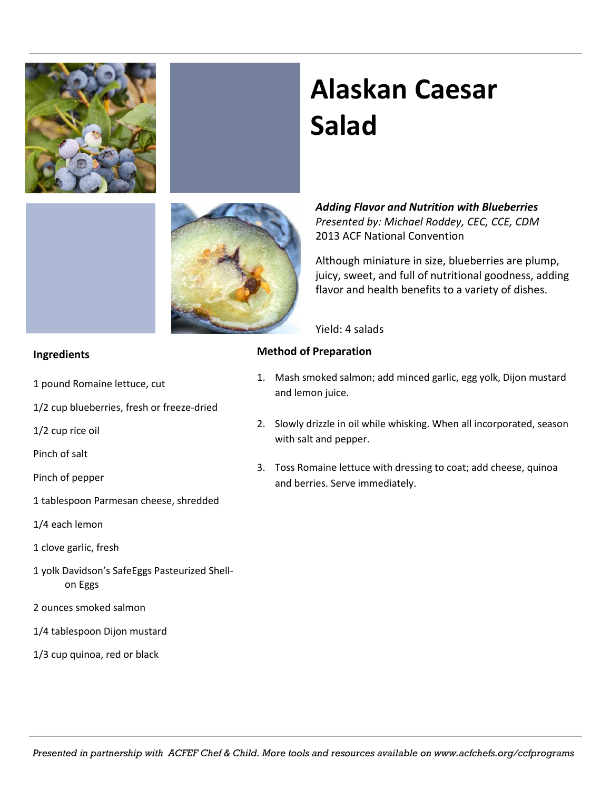

# **Alaskan Caesar Salad**

*Adding Flavor and Nutrition with Blueberries Presented by: Michael Roddey, CEC, CCE, CDM* 2013 ACF National Convention

Although miniature in size, blueberries are plump, juicy, sweet, and full of nutritional goodness, adding flavor and health benefits to a variety of dishes.

Yield: 4 salads

### **Method of Preparation**

- 1. Mash smoked salmon; add minced garlic, egg yolk, Dijon mustard and lemon juice.
- 2. Slowly drizzle in oil while whisking. When all incorporated, season with salt and pepper.
- 3. Toss Romaine lettuce with dressing to coat; add cheese, quinoa and berries. Serve immediately.

### **Ingredients**

- 1 pound Romaine lettuce, cut
- 1/2 cup blueberries, fresh or freeze-dried
- 1/2 cup rice oil
- Pinch of salt
- Pinch of pepper
- 1 tablespoon Parmesan cheese, shredded
- 1/4 each lemon
- 1 clove garlic, fresh
- 1 yolk Davidson's SafeEggs Pasteurized Shellon Eggs
- 2 ounces smoked salmon
- 1/4 tablespoon Dijon mustard
- 1/3 cup quinoa, red or black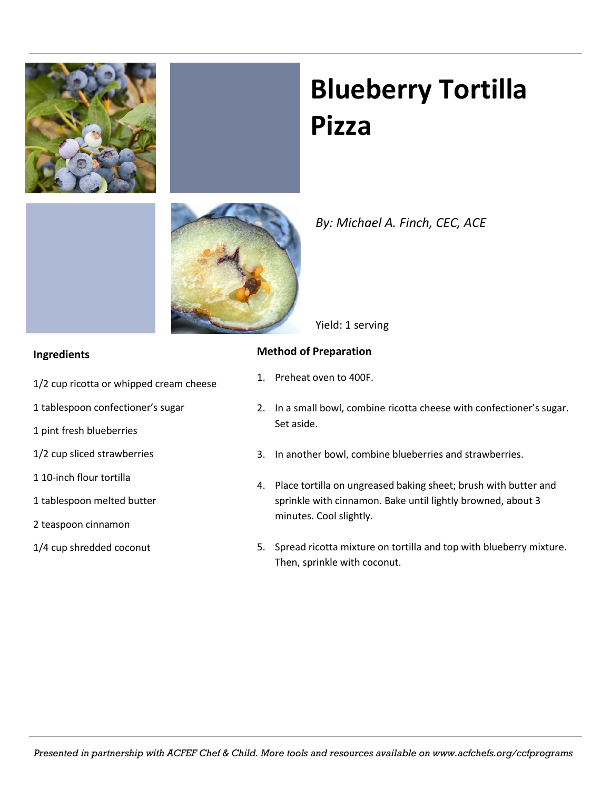

# **Blueberry Tortilla Pizza**



## *By: Michael A. Finch, CEC, ACE*

Yield: 1 serving

### **Ingredients**

- 1/2 cup ricotta or whipped cream cheese
- 1 tablespoon confectioner's sugar
- 1 pint fresh blueberries
- 1/2 cup sliced strawberries
- 1 10-inch flour tortilla
- 1 tablespoon melted butter
- 2 teaspoon cinnamon
- 1/4 cup shredded coconut

### **Method of Preparation**

- 1. Preheat oven to 400F.
- 2. In a small bowl, combine ricotta cheese with confectioner's sugar. Set aside.
- 3. In another bowl, combine blueberries and strawberries.
- 4. Place tortilla on ungreased baking sheet; brush with butter and sprinkle with cinnamon. Bake until lightly browned, about 3 minutes. Cool slightly.
- 5. Spread ricotta mixture on tortilla and top with blueberry mixture. Then, sprinkle with coconut.